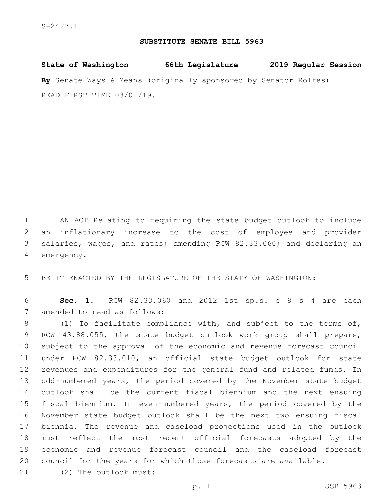## **SUBSTITUTE SENATE BILL 5963**

**State of Washington 66th Legislature 2019 Regular Session By** Senate Ways & Means (originally sponsored by Senator Rolfes) READ FIRST TIME 03/01/19.

 AN ACT Relating to requiring the state budget outlook to include an inflationary increase to the cost of employee and provider salaries, wages, and rates; amending RCW 82.33.060; and declaring an 4 emergency.

BE IT ENACTED BY THE LEGISLATURE OF THE STATE OF WASHINGTON:

 **Sec. 1.** RCW 82.33.060 and 2012 1st sp.s. c 8 s 4 are each 7 amended to read as follows:

8 (1) To facilitate compliance with, and subject to the terms of, RCW 43.88.055, the state budget outlook work group shall prepare, subject to the approval of the economic and revenue forecast council under RCW 82.33.010, an official state budget outlook for state revenues and expenditures for the general fund and related funds. In odd-numbered years, the period covered by the November state budget outlook shall be the current fiscal biennium and the next ensuing fiscal biennium. In even-numbered years, the period covered by the November state budget outlook shall be the next two ensuing fiscal biennia. The revenue and caseload projections used in the outlook must reflect the most recent official forecasts adopted by the economic and revenue forecast council and the caseload forecast council for the years for which those forecasts are available. 21 (2) The outlook must: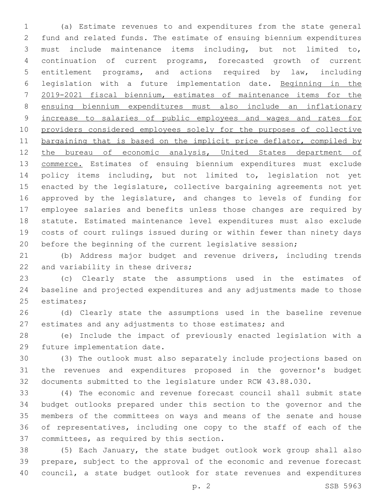(a) Estimate revenues to and expenditures from the state general fund and related funds. The estimate of ensuing biennium expenditures must include maintenance items including, but not limited to, continuation of current programs, forecasted growth of current entitlement programs, and actions required by law, including legislation with a future implementation date. Beginning in the 2019-2021 fiscal biennium, estimates of maintenance items for the ensuing biennium expenditures must also include an inflationary increase to salaries of public employees and wages and rates for providers considered employees solely for the purposes of collective 11 bargaining that is based on the implicit price deflator, compiled by the bureau of economic analysis, United States department of 13 commerce. Estimates of ensuing biennium expenditures must exclude policy items including, but not limited to, legislation not yet enacted by the legislature, collective bargaining agreements not yet approved by the legislature, and changes to levels of funding for employee salaries and benefits unless those changes are required by statute. Estimated maintenance level expenditures must also exclude costs of court rulings issued during or within fewer than ninety days before the beginning of the current legislative session;

 (b) Address major budget and revenue drivers, including trends 22 and variability in these drivers;

 (c) Clearly state the assumptions used in the estimates of baseline and projected expenditures and any adjustments made to those 25 estimates;

 (d) Clearly state the assumptions used in the baseline revenue estimates and any adjustments to those estimates; and

 (e) Include the impact of previously enacted legislation with a 29 future implementation date.

 (3) The outlook must also separately include projections based on the revenues and expenditures proposed in the governor's budget documents submitted to the legislature under RCW 43.88.030.

 (4) The economic and revenue forecast council shall submit state budget outlooks prepared under this section to the governor and the members of the committees on ways and means of the senate and house of representatives, including one copy to the staff of each of the 37 committees, as required by this section.

 (5) Each January, the state budget outlook work group shall also prepare, subject to the approval of the economic and revenue forecast council, a state budget outlook for state revenues and expenditures